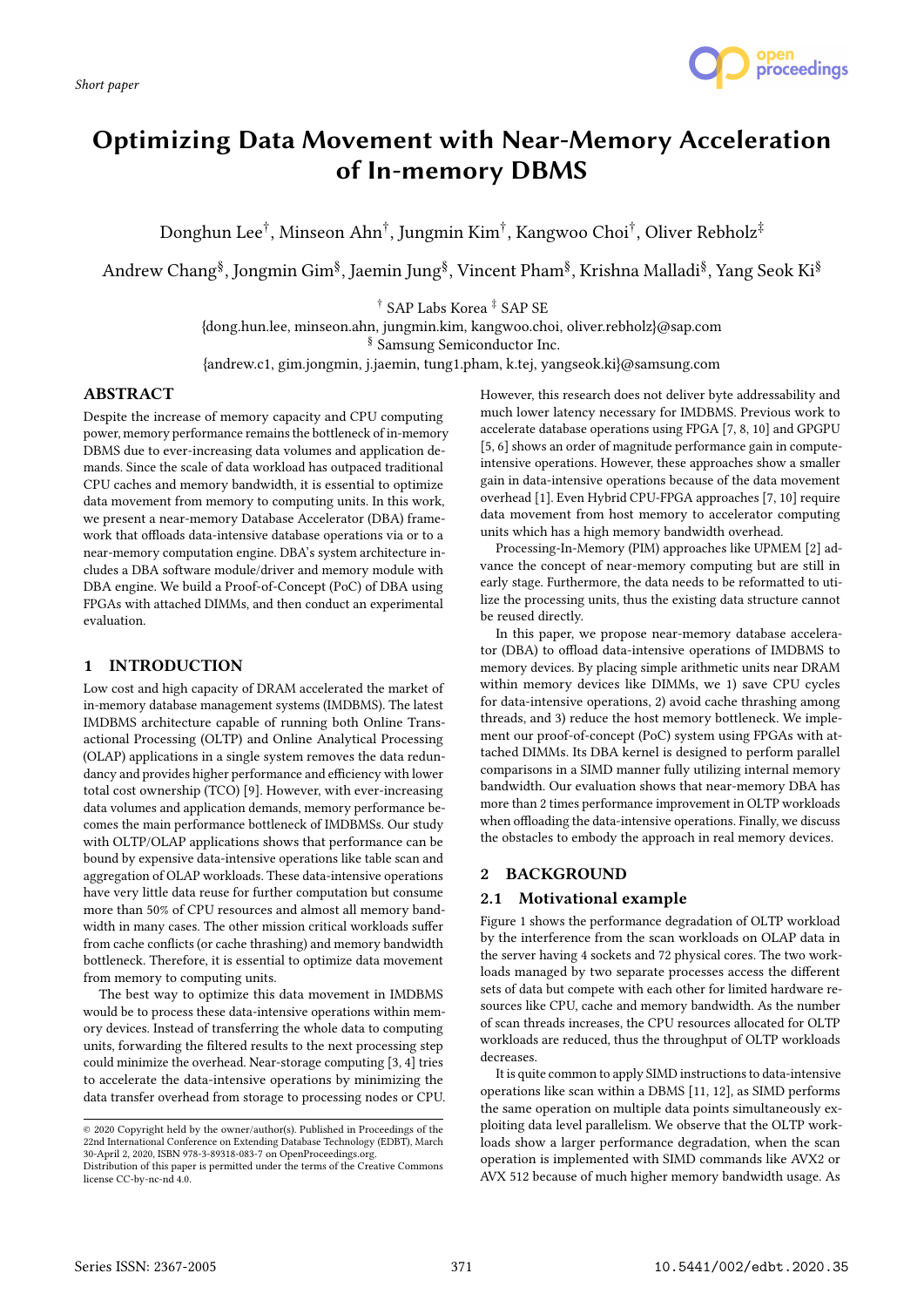

# Optimizing Data Movement with Near-Memory Acceleration of In-memory DBMS

Donghun Lee $^\dagger$ , Minseon Ahn $^\dagger$ , Jungmin Kim $^\dagger$ , Kangwoo Choi $^\dagger$ , Oliver Rebholz $^\ddagger$ 

Andrew Chang<sup>§</sup>, Jongmin Gim<sup>§</sup>, Jaemin Jung<sup>§</sup>, Vincent Pham<sup>§</sup>, Krishna Malladi<sup>§</sup>, Yang Seok Ki<sup>§</sup>

† SAP Labs Korea ‡ SAP SE

{dong.hun.lee, minseon.ahn, jungmin.kim, kangwoo.choi, oliver.rebholz}@sap.com

§ Samsung Semiconductor Inc.

{andrew.c1, gim.jongmin, j.jaemin, tung1.pham, k.tej, yangseok.ki}@samsung.com

## ABSTRACT

Despite the increase of memory capacity and CPU computing power, memory performance remains the bottleneck of in-memory DBMS due to ever-increasing data volumes and application demands. Since the scale of data workload has outpaced traditional CPU caches and memory bandwidth, it is essential to optimize data movement from memory to computing units. In this work, we present a near-memory Database Accelerator (DBA) framework that offloads data-intensive database operations via or to a near-memory computation engine. DBA's system architecture includes a DBA software module/driver and memory module with DBA engine. We build a Proof-of-Concept (PoC) of DBA using FPGAs with attached DIMMs, and then conduct an experimental evaluation.

## 1 INTRODUCTION

Low cost and high capacity of DRAM accelerated the market of in-memory database management systems (IMDBMS). The latest IMDBMS architecture capable of running both Online Transactional Processing (OLTP) and Online Analytical Processing (OLAP) applications in a single system removes the data redundancy and provides higher performance and efficiency with lower total cost ownership (TCO) [9]. However, with ever-increasing data volumes and application demands, memory performance becomes the main performance bottleneck of IMDBMSs. Our study with OLTP/OLAP applications shows that performance can be bound by expensive data-intensive operations like table scan and aggregation of OLAP workloads. These data-intensive operations have very little data reuse for further computation but consume more than 50% of CPU resources and almost all memory bandwidth in many cases. The other mission critical workloads suffer from cache conflicts (or cache thrashing) and memory bandwidth bottleneck. Therefore, it is essential to optimize data movement from memory to computing units.

The best way to optimize this data movement in IMDBMS would be to process these data-intensive operations within memory devices. Instead of transferring the whole data to computing units, forwarding the filtered results to the next processing step could minimize the overhead. Near-storage computing [3, 4] tries to accelerate the data-intensive operations by minimizing the data transfer overhead from storage to processing nodes or CPU. However, this research does not deliver byte addressability and much lower latency necessary for IMDBMS. Previous work to accelerate database operations using FPGA [7, 8, 10] and GPGPU [5, 6] shows an order of magnitude performance gain in computeintensive operations. However, these approaches show a smaller gain in data-intensive operations because of the data movement overhead [1]. Even Hybrid CPU-FPGA approaches [7, 10] require data movement from host memory to accelerator computing units which has a high memory bandwidth overhead.

Processing-In-Memory (PIM) approaches like UPMEM [2] advance the concept of near-memory computing but are still in early stage. Furthermore, the data needs to be reformatted to utilize the processing units, thus the existing data structure cannot be reused directly.

In this paper, we propose near-memory database accelerator (DBA) to offload data-intensive operations of IMDBMS to memory devices. By placing simple arithmetic units near DRAM within memory devices like DIMMs, we 1) save CPU cycles for data-intensive operations, 2) avoid cache thrashing among threads, and 3) reduce the host memory bottleneck. We implement our proof-of-concept (PoC) system using FPGAs with attached DIMMs. Its DBA kernel is designed to perform parallel comparisons in a SIMD manner fully utilizing internal memory bandwidth. Our evaluation shows that near-memory DBA has more than 2 times performance improvement in OLTP workloads when offloading the data-intensive operations. Finally, we discuss the obstacles to embody the approach in real memory devices.

## 2 BACKGROUND

## 2.1 Motivational example

Figure 1 shows the performance degradation of OLTP workload by the interference from the scan workloads on OLAP data in the server having 4 sockets and 72 physical cores. The two workloads managed by two separate processes access the different sets of data but compete with each other for limited hardware resources like CPU, cache and memory bandwidth. As the number of scan threads increases, the CPU resources allocated for OLTP workloads are reduced, thus the throughput of OLTP workloads decreases.

It is quite common to apply SIMD instructions to data-intensive operations like scan within a DBMS [11, 12], as SIMD performs the same operation on multiple data points simultaneously exploiting data level parallelism. We observe that the OLTP workloads show a larger performance degradation, when the scan operation is implemented with SIMD commands like AVX2 or AVX 512 because of much higher memory bandwidth usage. As

<sup>©</sup> 2020 Copyright held by the owner/author(s). Published in Proceedings of the 22nd International Conference on Extending Database Technology (EDBT), March 30-April 2, 2020, ISBN 978-3-89318-083-7 on OpenProceedings.org.

Distribution of this paper is permitted under the terms of the Creative Commons license CC-by-nc-nd 4.0.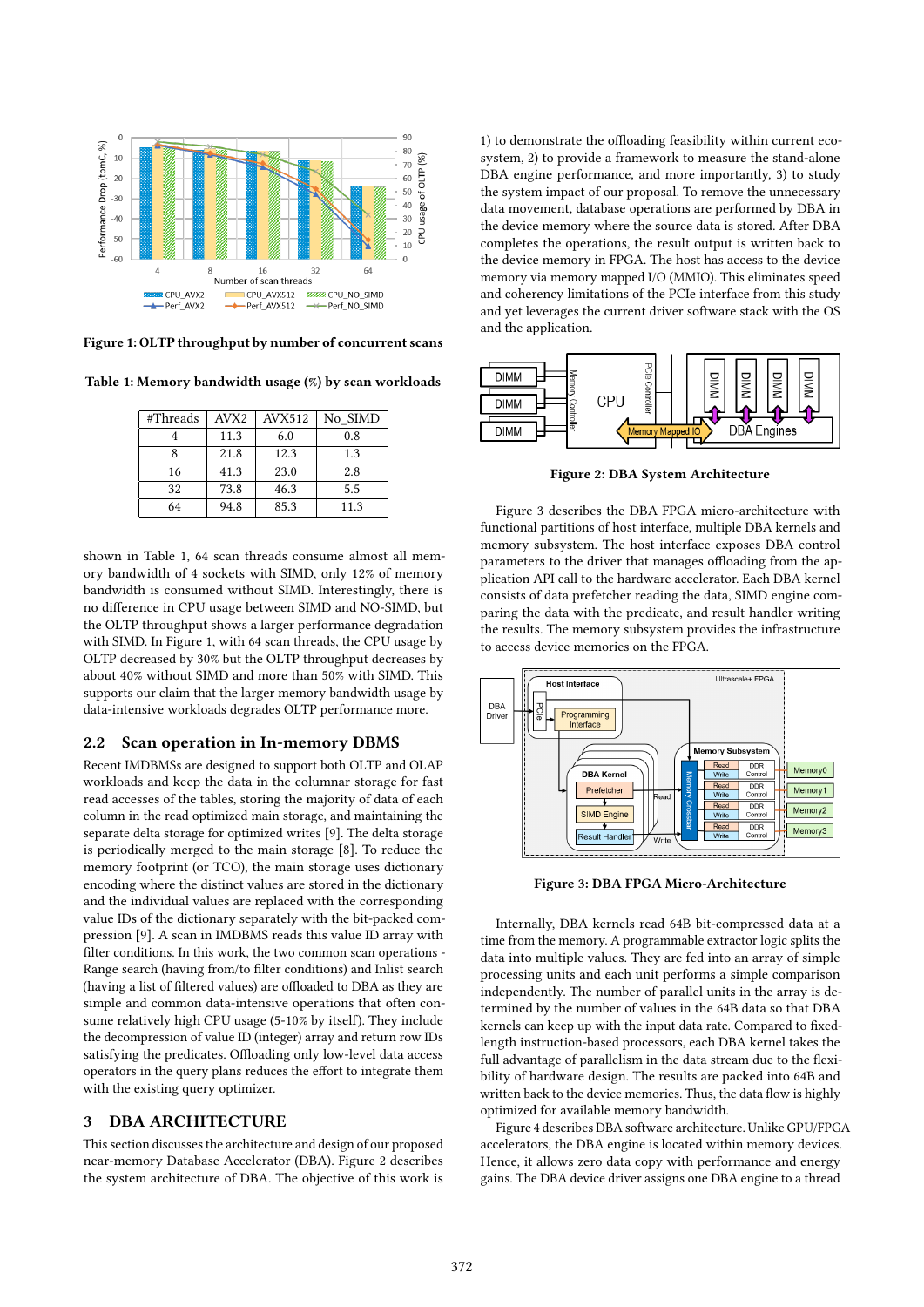

Figure 1: OLTP throughput by number of concurrent scans

Table 1: Memory bandwidth usage (%) by scan workloads

| #Threads | AVX <sub>2</sub> | AVX512 | No SIMD |
|----------|------------------|--------|---------|
|          | 11.3             | 6.0    | 0.8     |
|          | 21.8             | 12.3   | 1.3     |
| 16       | 41.3             | 23.0   | 2.8     |
| 32       | 73.8             | 46.3   | 5.5     |
| 64       | 94.8             | 85.3   | 11.3    |

shown in Table 1, 64 scan threads consume almost all memory bandwidth of 4 sockets with SIMD, only 12% of memory bandwidth is consumed without SIMD. Interestingly, there is no difference in CPU usage between SIMD and NO-SIMD, but the OLTP throughput shows a larger performance degradation with SIMD. In Figure 1, with 64 scan threads, the CPU usage by OLTP decreased by 30% but the OLTP throughput decreases by about 40% without SIMD and more than 50% with SIMD. This supports our claim that the larger memory bandwidth usage by data-intensive workloads degrades OLTP performance more.

#### 2.2 Scan operation in In-memory DBMS

Recent IMDBMSs are designed to support both OLTP and OLAP workloads and keep the data in the columnar storage for fast read accesses of the tables, storing the majority of data of each column in the read optimized main storage, and maintaining the separate delta storage for optimized writes [9]. The delta storage is periodically merged to the main storage [8]. To reduce the memory footprint (or TCO), the main storage uses dictionary encoding where the distinct values are stored in the dictionary and the individual values are replaced with the corresponding value IDs of the dictionary separately with the bit-packed compression [9]. A scan in IMDBMS reads this value ID array with filter conditions. In this work, the two common scan operations - Range search (having from/to filter conditions) and Inlist search (having a list of filtered values) are offloaded to DBA as they are simple and common data-intensive operations that often consume relatively high CPU usage (5-10% by itself). They include the decompression of value ID (integer) array and return row IDs satisfying the predicates. Offloading only low-level data access operators in the query plans reduces the effort to integrate them with the existing query optimizer.

#### 3 DBA ARCHITECTURE

This section discusses the architecture and design of our proposed near-memory Database Accelerator (DBA). Figure 2 describes the system architecture of DBA. The objective of this work is

1) to demonstrate the offloading feasibility within current ecosystem, 2) to provide a framework to measure the stand-alone DBA engine performance, and more importantly, 3) to study the system impact of our proposal. To remove the unnecessary data movement, database operations are performed by DBA in the device memory where the source data is stored. After DBA completes the operations, the result output is written back to the device memory in FPGA. The host has access to the device memory via memory mapped I/O (MMIO). This eliminates speed and coherency limitations of the PCIe interface from this study and yet leverages the current driver software stack with the OS and the application.



Figure 2: DBA System Architecture

Figure 3 describes the DBA FPGA micro-architecture with functional partitions of host interface, multiple DBA kernels and memory subsystem. The host interface exposes DBA control parameters to the driver that manages offloading from the application API call to the hardware accelerator. Each DBA kernel consists of data prefetcher reading the data, SIMD engine comparing the data with the predicate, and result handler writing the results. The memory subsystem provides the infrastructure to access device memories on the FPGA.



Figure 3: DBA FPGA Micro-Architecture

Internally, DBA kernels read 64B bit-compressed data at a time from the memory. A programmable extractor logic splits the data into multiple values. They are fed into an array of simple processing units and each unit performs a simple comparison independently. The number of parallel units in the array is determined by the number of values in the 64B data so that DBA kernels can keep up with the input data rate. Compared to fixedlength instruction-based processors, each DBA kernel takes the full advantage of parallelism in the data stream due to the flexibility of hardware design. The results are packed into 64B and written back to the device memories. Thus, the data flow is highly optimized for available memory bandwidth.

Figure 4 describes DBA software architecture. Unlike GPU/FPGA accelerators, the DBA engine is located within memory devices. Hence, it allows zero data copy with performance and energy gains. The DBA device driver assigns one DBA engine to a thread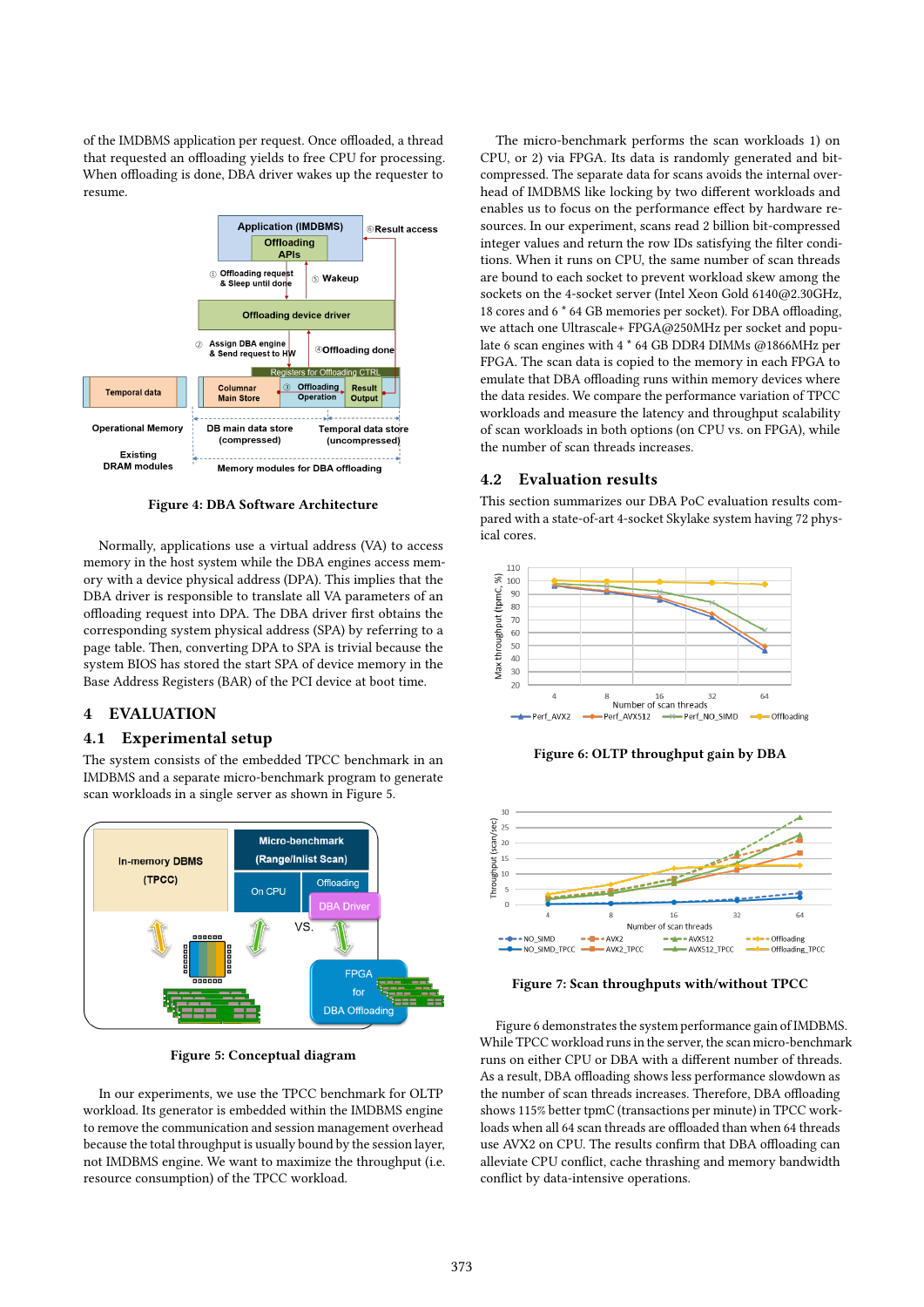of the IMDBMS application per request. Once offloaded, a thread that requested an offloading yields to free CPU for processing. When offloading is done, DBA driver wakes up the requester to resume.



Figure 4: DBA Software Architecture

Normally, applications use a virtual address (VA) to access memory in the host system while the DBA engines access memory with a device physical address (DPA). This implies that the DBA driver is responsible to translate all VA parameters of an offloading request into DPA. The DBA driver first obtains the corresponding system physical address (SPA) by referring to a page table. Then, converting DPA to SPA is trivial because the system BIOS has stored the start SPA of device memory in the Base Address Registers (BAR) of the PCI device at boot time.

### 4 EVALUATION

#### 4.1 Experimental setup

The system consists of the embedded TPCC benchmark in an IMDBMS and a separate micro-benchmark program to generate scan workloads in a single server as shown in Figure 5.



Figure 5: Conceptual diagram

In our experiments, we use the TPCC benchmark for OLTP workload. Its generator is embedded within the IMDBMS engine to remove the communication and session management overhead because the total throughput is usually bound by the session layer, not IMDBMS engine. We want to maximize the throughput (i.e. resource consumption) of the TPCC workload.

The micro-benchmark performs the scan workloads 1) on CPU, or 2) via FPGA. Its data is randomly generated and bitcompressed. The separate data for scans avoids the internal overhead of IMDBMS like locking by two different workloads and enables us to focus on the performance effect by hardware resources. In our experiment, scans read 2 billion bit-compressed integer values and return the row IDs satisfying the filter conditions. When it runs on CPU, the same number of scan threads are bound to each socket to prevent workload skew among the sockets on the 4-socket server (Intel Xeon Gold 6140@2.30GHz, 18 cores and 6 \* 64 GB memories per socket). For DBA offloading, we attach one Ultrascale+ FPGA@250MHz per socket and populate 6 scan engines with 4 \* 64 GB DDR4 DIMMs @1866MHz per FPGA. The scan data is copied to the memory in each FPGA to emulate that DBA offloading runs within memory devices where the data resides. We compare the performance variation of TPCC workloads and measure the latency and throughput scalability of scan workloads in both options (on CPU vs. on FPGA), while the number of scan threads increases.

#### 4.2 Evaluation results

This section summarizes our DBA PoC evaluation results compared with a state-of-art 4-socket Skylake system having 72 physical cores.



Figure 6: OLTP throughput gain by DBA



Figure 7: Scan throughputs with/without TPCC

Figure 6 demonstrates the system performance gain of IMDBMS. While TPCC workload runs in the server, the scan micro-benchmark runs on either CPU or DBA with a different number of threads. As a result, DBA offloading shows less performance slowdown as the number of scan threads increases. Therefore, DBA offloading shows 115% better tpmC (transactions per minute) in TPCC workloads when all 64 scan threads are offloaded than when 64 threads use AVX2 on CPU. The results confirm that DBA offloading can alleviate CPU conflict, cache thrashing and memory bandwidth conflict by data-intensive operations.